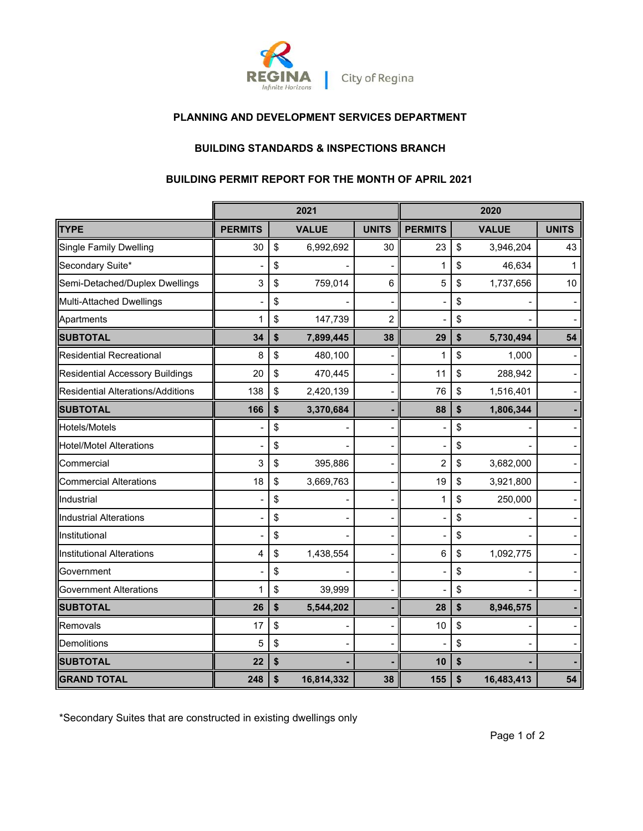

### **PLANNING AND DEVELOPMENT SERVICES DEPARTMENT**

# **BUILDING STANDARDS & INSPECTIONS BRANCH**

### **BUILDING PERMIT REPORT FOR THE MONTH OF APRIL 2021**

|                                          | 2021           |    |              | 2020           |                |    |              |              |
|------------------------------------------|----------------|----|--------------|----------------|----------------|----|--------------|--------------|
| <b>TYPE</b>                              | <b>PERMITS</b> |    | <b>VALUE</b> | <b>UNITS</b>   | <b>PERMITS</b> |    | <b>VALUE</b> | <b>UNITS</b> |
| <b>Single Family Dwelling</b>            | 30             | \$ | 6,992,692    | 30             | 23             | \$ | 3,946,204    | 43           |
| Secondary Suite*                         |                | \$ |              |                | 1              | \$ | 46,634       | 1            |
| Semi-Detached/Duplex Dwellings           | 3              | \$ | 759,014      | 6              | 5              | \$ | 1,737,656    | 10           |
| <b>Multi-Attached Dwellings</b>          |                | \$ |              |                |                | \$ |              |              |
| Apartments                               | 1              | \$ | 147,739      | $\overline{2}$ |                | \$ |              |              |
| <b>SUBTOTAL</b>                          | 34             | \$ | 7,899,445    | 38             | 29             | \$ | 5,730,494    | 54           |
| <b>Residential Recreational</b>          | 8              | \$ | 480,100      |                | 1              | \$ | 1,000        |              |
| <b>Residential Accessory Buildings</b>   | 20             | \$ | 470,445      |                | 11             | \$ | 288,942      |              |
| <b>Residential Alterations/Additions</b> | 138            | \$ | 2,420,139    |                | 76             | \$ | 1,516,401    |              |
| <b>SUBTOTAL</b>                          | 166            | \$ | 3,370,684    |                | 88             | \$ | 1,806,344    |              |
| Hotels/Motels                            |                | \$ |              |                |                | \$ |              |              |
| <b>Hotel/Motel Alterations</b>           |                | \$ |              |                |                | \$ |              |              |
| Commercial                               | 3              | \$ | 395,886      |                | $\overline{c}$ | \$ | 3,682,000    |              |
| <b>Commercial Alterations</b>            | 18             | \$ | 3,669,763    |                | 19             | \$ | 3,921,800    |              |
| Industrial                               |                | \$ |              |                | 1              | \$ | 250,000      |              |
| <b>Industrial Alterations</b>            |                | \$ |              |                |                | \$ |              |              |
| Institutional                            |                | \$ |              |                |                | \$ |              |              |
| <b>Institutional Alterations</b>         | 4              | \$ | 1,438,554    |                | 6              | \$ | 1,092,775    |              |
| Government                               |                | \$ |              |                |                | \$ |              |              |
| <b>Government Alterations</b>            | 1              | \$ | 39,999       |                |                | \$ |              |              |
| <b>SUBTOTAL</b>                          | 26             | \$ | 5,544,202    |                | 28             | \$ | 8,946,575    |              |
| Removals                                 | 17             | \$ |              |                | 10             | \$ |              |              |
| Demolitions                              | 5              | \$ |              |                |                | \$ |              |              |
| <b>SUBTOTAL</b>                          | 22             | \$ |              |                | 10             | \$ |              |              |
| <b>GRAND TOTAL</b>                       | 248            | \$ | 16,814,332   | 38             | 155            | \$ | 16,483,413   | 54           |

\*Secondary Suites that are constructed in existing dwellings only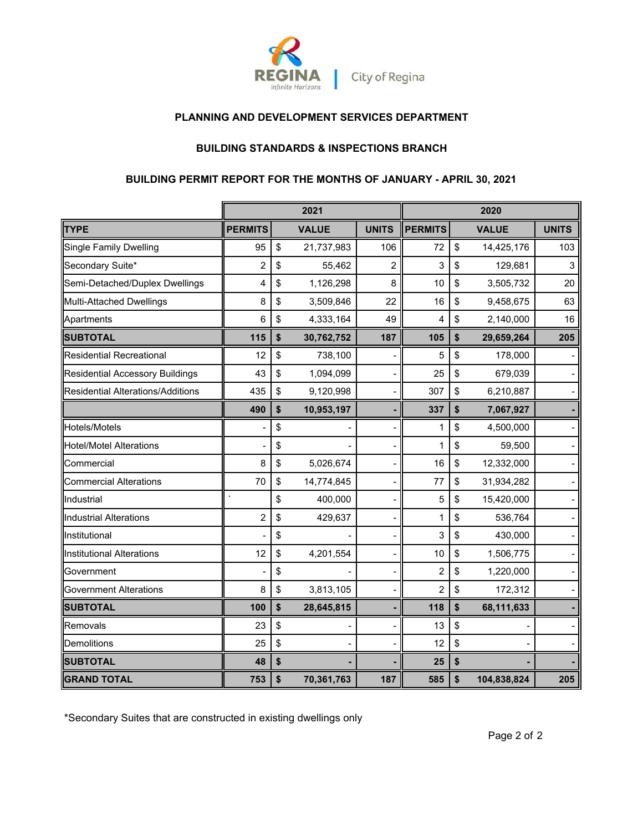

### **PLANNING AND DEVELOPMENT SERVICES DEPARTMENT**

## **BUILDING STANDARDS & INSPECTIONS BRANCH**

# **BUILDING PERMIT REPORT FOR THE MONTHS OF JANUARY - APRIL 30, 2021**

|                                        |                | 2021             |              | 2020           |    |              |              |
|----------------------------------------|----------------|------------------|--------------|----------------|----|--------------|--------------|
| <b>TYPE</b>                            | <b>PERMITS</b> | <b>VALUE</b>     | <b>UNITS</b> | <b>PERMITS</b> |    | <b>VALUE</b> | <b>UNITS</b> |
| <b>Single Family Dwelling</b>          | 95             | \$<br>21,737,983 | 106          | 72             | \$ | 14,425,176   | 103          |
| Secondary Suite*                       | 2              | \$<br>55,462     | 2            | 3              | \$ | 129,681      | 3            |
| Semi-Detached/Duplex Dwellings         | 4              | \$<br>1,126,298  | 8            | 10             | \$ | 3,505,732    | 20           |
| Multi-Attached Dwellings               | 8              | \$<br>3,509,846  | 22           | 16             | \$ | 9,458,675    | 63           |
| Apartments                             | 6              | \$<br>4,333,164  | 49           | 4              | \$ | 2,140,000    | 16           |
| <b>SUBTOTAL</b>                        | 115            | \$<br>30,762,752 | 187          | 105            | \$ | 29,659,264   | 205          |
| <b>Residential Recreational</b>        | 12             | \$<br>738,100    |              | 5              | \$ | 178,000      |              |
| <b>Residential Accessory Buildings</b> | 43             | \$<br>1,094,099  |              | 25             | \$ | 679,039      |              |
| Residential Alterations/Additions      | 435            | \$<br>9,120,998  |              | 307            | \$ | 6,210,887    |              |
|                                        | 490            | \$<br>10,953,197 |              | 337            | \$ | 7,067,927    |              |
| Hotels/Motels                          |                | \$               |              | 1              | \$ | 4,500,000    |              |
| <b>Hotel/Motel Alterations</b>         |                | \$               |              | 1              | \$ | 59,500       |              |
| Commercial                             | 8              | \$<br>5,026,674  |              | 16             | \$ | 12,332,000   |              |
| <b>Commercial Alterations</b>          | 70             | \$<br>14,774,845 |              | 77             | \$ | 31,934,282   |              |
| Industrial                             |                | \$<br>400,000    |              | 5              | \$ | 15,420,000   |              |
| <b>Industrial Alterations</b>          | $\overline{c}$ | \$<br>429,637    |              | $\mathbf 1$    | \$ | 536,764      |              |
| Institutional                          |                | \$               |              | 3              | \$ | 430,000      |              |
| <b>Institutional Alterations</b>       | 12             | \$<br>4,201,554  |              | 10             | \$ | 1,506,775    |              |
| Government                             |                | \$               |              | $\overline{c}$ | \$ | 1,220,000    |              |
| <b>Government Alterations</b>          | 8              | \$<br>3,813,105  |              | $\overline{2}$ | \$ | 172,312      |              |
| <b>SUBTOTAL</b>                        | 100            | \$<br>28,645,815 |              | 118            | \$ | 68,111,633   |              |
| Removals                               | 23             | \$               |              | 13             | \$ |              |              |
| Demolitions                            | 25             | \$               |              | 12             | \$ |              |              |
| <b>SUBTOTAL</b>                        | 48             | \$               |              | 25             | \$ |              |              |
| <b>GRAND TOTAL</b>                     | 753            | \$<br>70,361,763 | 187          | 585            | \$ | 104,838,824  | 205          |

\*Secondary Suites that are constructed in existing dwellings only